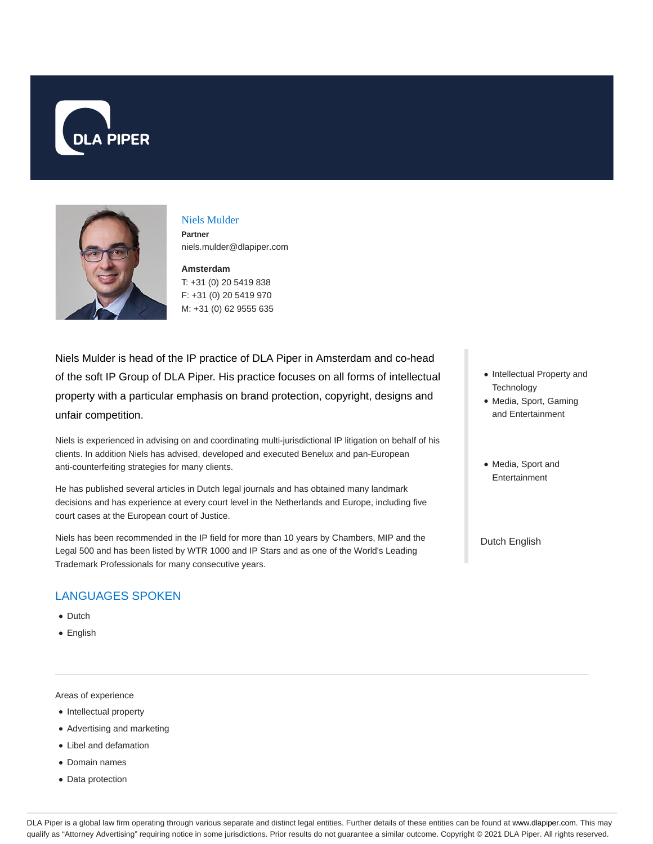



### Niels Mulder

**Partner** niels.mulder@dlapiper.com

#### **Amsterdam** T: +31 (0) 20 5419 838

F: +31 (0) 20 5419 970 M: +31 (0) 62 9555 635

Niels Mulder is head of the IP practice of DLA Piper in Amsterdam and co-head of the soft IP Group of DLA Piper. His practice focuses on all forms of intellectual property with a particular emphasis on brand protection, copyright, designs and unfair competition.

Niels is experienced in advising on and coordinating multi-jurisdictional IP litigation on behalf of his clients. In addition Niels has advised, developed and executed Benelux and pan-European anti-counterfeiting strategies for many clients.

He has published several articles in Dutch legal journals and has obtained many landmark decisions and has experience at every court level in the Netherlands and Europe, including five court cases at the European court of Justice.

Niels has been recommended in the IP field for more than 10 years by Chambers, MIP and the Legal 500 and has been listed by WTR 1000 and IP Stars and as one of the World's Leading Trademark Professionals for many consecutive years.

# LANGUAGES SPOKEN

- Dutch
- English

Areas of experience

- Intellectual property
- Advertising and marketing
- Libel and defamation
- Domain names
- Data protection
- Intellectual Property and **Technology**
- Media, Sport, Gaming and Entertainment
- Media, Sport and Entertainment

Dutch English

DLA Piper is a global law firm operating through various separate and distinct legal entities. Further details of these entities can be found at www.dlapiper.com. This may qualify as "Attorney Advertising" requiring notice in some jurisdictions. Prior results do not guarantee a similar outcome. Copyright @ 2021 DLA Piper. All rights reserved.